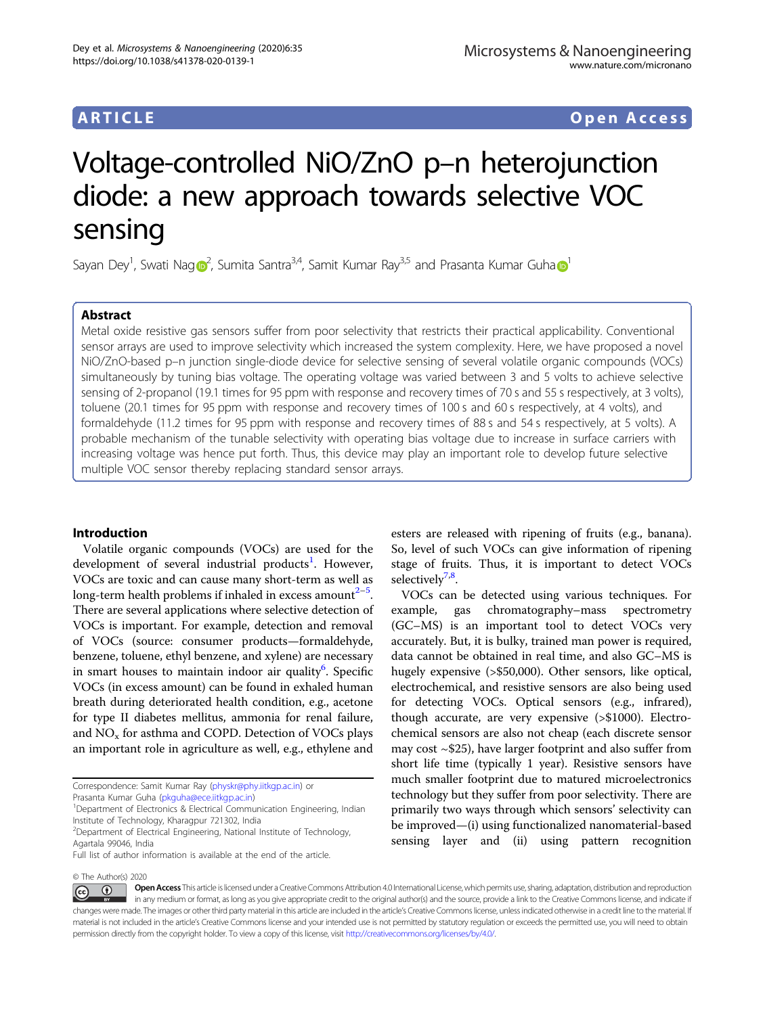# ARTICLE Open Access

# Voltage-controlled NiO/ZnO p–n heterojunction diode: a new approach towards selective VOC sensing

Sayan Dey<sup>1</sup>, Swati Na[g](http://orcid.org/0000-0003-3025-8240) $\mathbf{O}^2$  $\mathbf{O}^2$ , Sumita Santra $^{3,4}$ , Samit Kumar Ray $^{3,5}$  and Prasanta Kumar Guha $\mathbf{O}^1$  $\mathbf{O}^1$ 

# Abstract

Metal oxide resistive gas sensors suffer from poor selectivity that restricts their practical applicability. Conventional sensor arrays are used to improve selectivity which increased the system complexity. Here, we have proposed a novel NiO/ZnO-based p–n junction single-diode device for selective sensing of several volatile organic compounds (VOCs) simultaneously by tuning bias voltage. The operating voltage was varied between 3 and 5 volts to achieve selective sensing of 2-propanol (19.1 times for 95 ppm with response and recovery times of 70 s and 55 s respectively, at 3 volts), toluene (20.1 times for 95 ppm with response and recovery times of 100 s and 60 s respectively, at 4 volts), and formaldehyde (11.2 times for 95 ppm with response and recovery times of 88 s and 54 s respectively, at 5 volts). A probable mechanism of the tunable selectivity with operating bias voltage due to increase in surface carriers with increasing voltage was hence put forth. Thus, this device may play an important role to develop future selective multiple VOC sensor thereby replacing standard sensor arrays.

# Introduction

Volatile organic compounds (VOCs) are used for the development of several industrial products<sup>[1](#page-7-0)</sup>. However, VOCs are toxic and can cause many short-term as well as long-term health problems if inhaled in excess amount $2^{-5}$  $2^{-5}$  $2^{-5}$  $2^{-5}$ . There are several applications where selective detection of VOCs is important. For example, detection and removal of VOCs (source: consumer products—formaldehyde, benzene, toluene, ethyl benzene, and xylene) are necessary in smart houses to maintain indoor air quality<sup>[6](#page-7-0)</sup>. Specific VOCs (in excess amount) can be found in exhaled human breath during deteriorated health condition, e.g., acetone for type II diabetes mellitus, ammonia for renal failure, and  $NO<sub>x</sub>$  for asthma and COPD. Detection of VOCs plays an important role in agriculture as well, e.g., ethylene and

© The Author(s) 2020

esters are released with ripening of fruits (e.g., banana). So, level of such VOCs can give information of ripening stage of fruits. Thus, it is important to detect VOCs selectively<sup>[7](#page-7-0),[8](#page-7-0)</sup>.

VOCs can be detected using various techniques. For example, gas chromatography–mass spectrometry (GC–MS) is an important tool to detect VOCs very accurately. But, it is bulky, trained man power is required, data cannot be obtained in real time, and also GC–MS is hugely expensive (>\$50,000). Other sensors, like optical, electrochemical, and resistive sensors are also being used for detecting VOCs. Optical sensors (e.g., infrared), though accurate, are very expensive (>\$1000). Electrochemical sensors are also not cheap (each discrete sensor may cost ~\$25), have larger footprint and also suffer from short life time (typically 1 year). Resistive sensors have much smaller footprint due to matured microelectronics technology but they suffer from poor selectivity. There are primarily two ways through which sensors' selectivity can be improved—(i) using functionalized nanomaterial-based sensing layer and (ii) using pattern recognition

Open Access This article is licensed under a Creative Commons Attribution 4.0 International License, which permits use, sharing, adaptation, distribution and reproduction  $\bigcirc$  $\left[{\rm (cc)}\right]$ in any medium or format, as long as you give appropriate credit to the original author(s) and the source, provide a link to the Creative Commons license, and indicate if changes were made. The images or other third party material in this article are included in the article's Creative Commons license, unless indicated otherwise in a credit line to the material. If material is not included in the article's Creative Commons license and your intended use is not permitted by statutory regulation or exceeds the permitted use, you will need to obtain permission directly from the copyright holder. To view a copy of this license, visit <http://creativecommons.org/licenses/by/4.0/>.

Correspondence: Samit Kumar Ray [\(physkr@phy.iitkgp.ac.in\)](mailto:physkr@phy.iitkgp.ac.in) or

Prasanta Kumar Guha [\(pkguha@ece.iitkgp.ac.in\)](mailto:pkguha@ece.iitkgp.ac.in)

<sup>&</sup>lt;sup>1</sup>Department of Electronics & Electrical Communication Engineering, Indian Institute of Technology, Kharagpur 721302, India

<sup>&</sup>lt;sup>2</sup>Department of Electrical Engineering, National Institute of Technology, Agartala 99046, India

Full list of author information is available at the end of the article.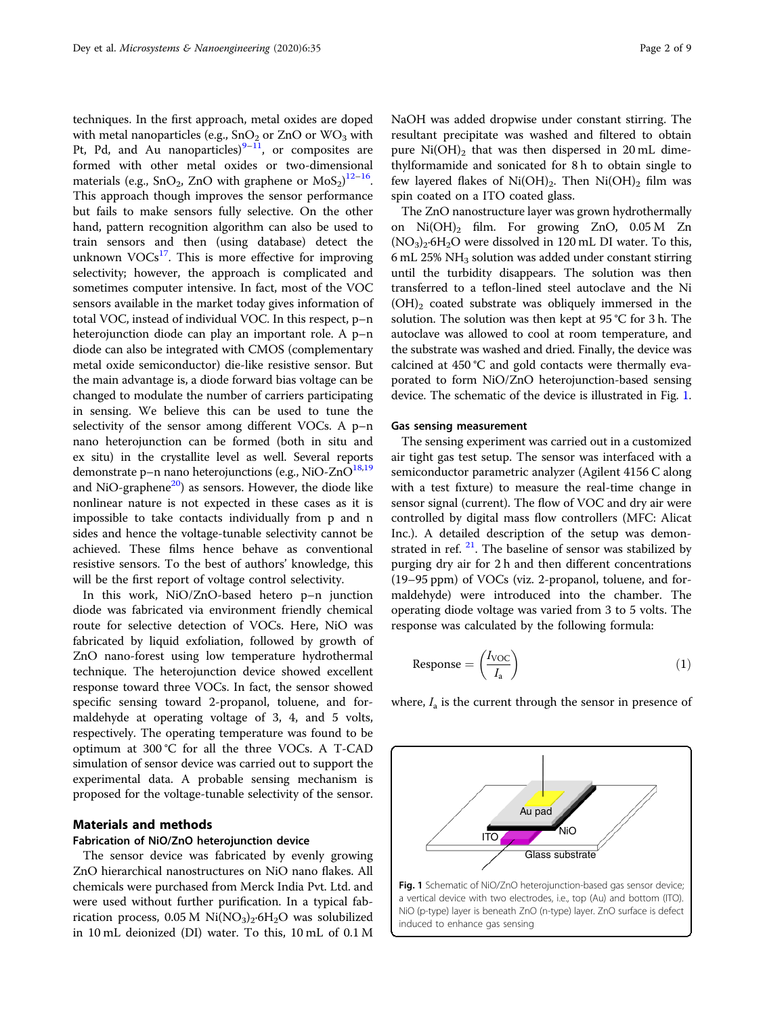techniques. In the first approach, metal oxides are doped with metal nanoparticles (e.g.,  $SnO<sub>2</sub>$  or  $ZnO$  or  $WO<sub>3</sub>$  with Pt, Pd, and Au nanoparticles) $9-11$  $9-11$  $9-11$ , or composites are formed with other metal oxides or two-dimensional materials (e.g., SnO<sub>2</sub>, ZnO with graphene or  $\text{MoS}_2$ )<sup>[12](#page-7-0)–[16](#page-7-0)</sup>. This approach though improves the sensor performance but fails to make sensors fully selective. On the other hand, pattern recognition algorithm can also be used to train sensors and then (using database) detect the unknown  $VOCs<sup>17</sup>$  $VOCs<sup>17</sup>$  $VOCs<sup>17</sup>$ . This is more effective for improving selectivity; however, the approach is complicated and sometimes computer intensive. In fact, most of the VOC sensors available in the market today gives information of total VOC, instead of individual VOC. In this respect, p–n heterojunction diode can play an important role. A p–n diode can also be integrated with CMOS (complementary metal oxide semiconductor) die-like resistive sensor. But the main advantage is, a diode forward bias voltage can be changed to modulate the number of carriers participating in sensing. We believe this can be used to tune the selectivity of the sensor among different VOCs. A p–n nano heterojunction can be formed (both in situ and ex situ) in the crystallite level as well. Several reports demonstrate p–n nano heterojunctions (e.g., NiO-ZnO $^{18,19}$  $^{18,19}$  $^{18,19}$ and NiO-graphene $^{20}$  $^{20}$  $^{20}$ ) as sensors. However, the diode like nonlinear nature is not expected in these cases as it is impossible to take contacts individually from p and n sides and hence the voltage-tunable selectivity cannot be achieved. These films hence behave as conventional resistive sensors. To the best of authors' knowledge, this will be the first report of voltage control selectivity.

In this work, NiO/ZnO-based hetero p–n junction diode was fabricated via environment friendly chemical route for selective detection of VOCs. Here, NiO was fabricated by liquid exfoliation, followed by growth of ZnO nano-forest using low temperature hydrothermal technique. The heterojunction device showed excellent response toward three VOCs. In fact, the sensor showed specific sensing toward 2-propanol, toluene, and formaldehyde at operating voltage of 3, 4, and 5 volts, respectively. The operating temperature was found to be optimum at 300 °C for all the three VOCs. A T-CAD simulation of sensor device was carried out to support the experimental data. A probable sensing mechanism is proposed for the voltage-tunable selectivity of the sensor.

# Materials and methods

### Fabrication of NiO/ZnO heterojunction device

The sensor device was fabricated by evenly growing ZnO hierarchical nanostructures on NiO nano flakes. All chemicals were purchased from Merck India Pvt. Ltd. and were used without further purification. In a typical fabrication process, 0.05 M  $\rm Ni(NO_3)_2$ ·6H<sub>2</sub>O was solubilized in 10 mL deionized (DI) water. To this, 10 mL of 0.1 M NaOH was added dropwise under constant stirring. The resultant precipitate was washed and filtered to obtain pure  $Ni(OH)_2$  that was then dispersed in 20 mL dimethylformamide and sonicated for 8 h to obtain single to few layered flakes of  $Ni(OH)_2$ . Then  $Ni(OH)_2$  film was spin coated on a ITO coated glass.

The ZnO nanostructure layer was grown hydrothermally on  $Ni(OH)_{2}$  film. For growing ZnO, 0.05 M Zn  $(NO<sub>3</sub>)<sub>2</sub>·6H<sub>2</sub>O$  were dissolved in 120 mL DI water. To this, 6 mL 25% NH<sup>3</sup> solution was added under constant stirring until the turbidity disappears. The solution was then transferred to a teflon-lined steel autoclave and the Ni  $(OH)_2$  coated substrate was obliquely immersed in the solution. The solution was then kept at 95 °C for 3 h. The autoclave was allowed to cool at room temperature, and the substrate was washed and dried. Finally, the device was calcined at 450 °C and gold contacts were thermally evaporated to form NiO/ZnO heterojunction-based sensing device. The schematic of the device is illustrated in Fig. 1.

### Gas sensing measurement

The sensing experiment was carried out in a customized air tight gas test setup. The sensor was interfaced with a semiconductor parametric analyzer (Agilent 4156 C along with a test fixture) to measure the real-time change in sensor signal (current). The flow of VOC and dry air were controlled by digital mass flow controllers (MFC: Alicat Inc.). A detailed description of the setup was demonstrated in ref.  $21$ . The baseline of sensor was stabilized by purging dry air for 2 h and then different concentrations (19–95 ppm) of VOCs (viz. 2-propanol, toluene, and formaldehyde) were introduced into the chamber. The operating diode voltage was varied from 3 to 5 volts. The response was calculated by the following formula:

$$
Response = \left(\frac{I_{VOC}}{I_a}\right) \tag{1}
$$

where,  $I_a$  is the current through the sensor in presence of

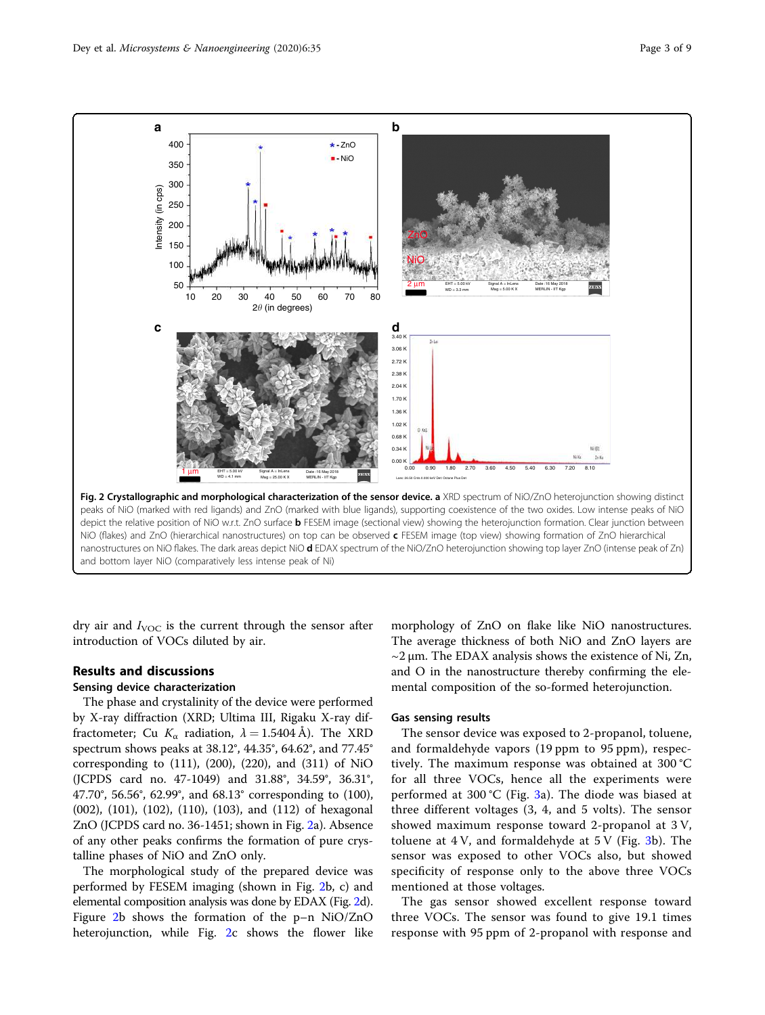

dry air and  $I_{\text{VOC}}$  is the current through the sensor after introduction of VOCs diluted by air.

# Results and discussions

# Sensing device characterization

The phase and crystalinity of the device were performed by X-ray diffraction (XRD; Ultima III, Rigaku X-ray diffractometer; Cu  $K_{\alpha}$  radiation,  $\lambda = 1.5404$  Å). The XRD spectrum shows peaks at 38.12°, 44.35°, 64.62°, and 77.45° corresponding to (111), (200), (220), and (311) of NiO (JCPDS card no. 47-1049) and 31.88°, 34.59°, 36.31°, 47.70°, 56.56°, 62.99°, and 68.13° corresponding to (100), (002), (101), (102), (110), (103), and (112) of hexagonal ZnO (JCPDS card no. 36-1451; shown in Fig. 2a). Absence of any other peaks confirms the formation of pure crystalline phases of NiO and ZnO only.

The morphological study of the prepared device was performed by FESEM imaging (shown in Fig. 2b, c) and elemental composition analysis was done by EDAX (Fig. 2d). Figure 2b shows the formation of the p–n NiO/ZnO heterojunction, while Fig. 2c shows the flower like

morphology of ZnO on flake like NiO nanostructures. The average thickness of both NiO and ZnO layers are  $\sim$ 2 µm. The EDAX analysis shows the existence of Ni, Zn, and O in the nanostructure thereby confirming the elemental composition of the so-formed heterojunction.

## Gas sensing results

The sensor device was exposed to 2-propanol, toluene, and formaldehyde vapors (19 ppm to 95 ppm), respectively. The maximum response was obtained at 300 °C for all three VOCs, hence all the experiments were performed at [3](#page-3-0)00 °C (Fig. 3a). The diode was biased at three different voltages (3, 4, and 5 volts). The sensor showed maximum response toward 2-propanol at 3 V, toluene at  $4V$ , and formaldehyde at  $5V$  (Fig. [3b](#page-3-0)). The sensor was exposed to other VOCs also, but showed specificity of response only to the above three VOCs mentioned at those voltages.

The gas sensor showed excellent response toward three VOCs. The sensor was found to give 19.1 times response with 95 ppm of 2-propanol with response and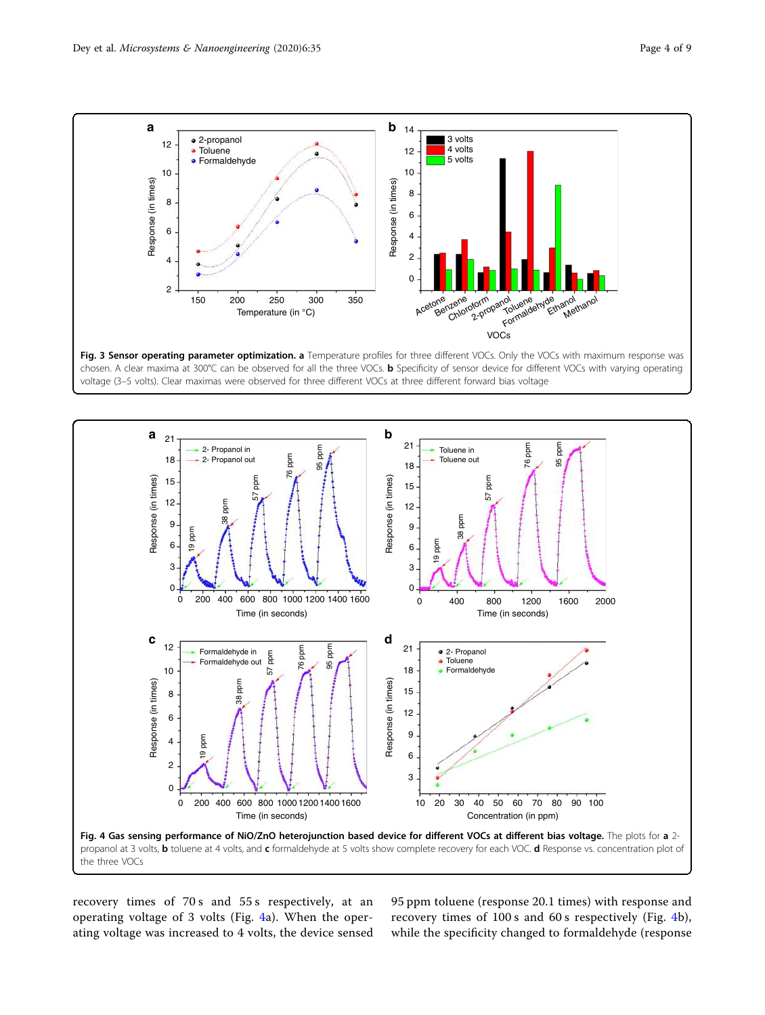<span id="page-3-0"></span>

Fig. 3 Sensor operating parameter optimization. a Temperature profiles for three different VOCs. Only the VOCs with maximum response was chosen. A clear maxima at 300°C can be observed for all the three VOCs. **b** Specificity of sensor device for different VOCs with varying operating voltage (3–5 volts). Clear maximas were observed for three different VOCs at three different forward bias voltage



recovery times of 70 s and 55 s respectively, at an operating voltage of 3 volts (Fig. 4a). When the operating voltage was increased to 4 volts, the device sensed

95 ppm toluene (response 20.1 times) with response and recovery times of 100 s and 60 s respectively (Fig. 4b), while the specificity changed to formaldehyde (response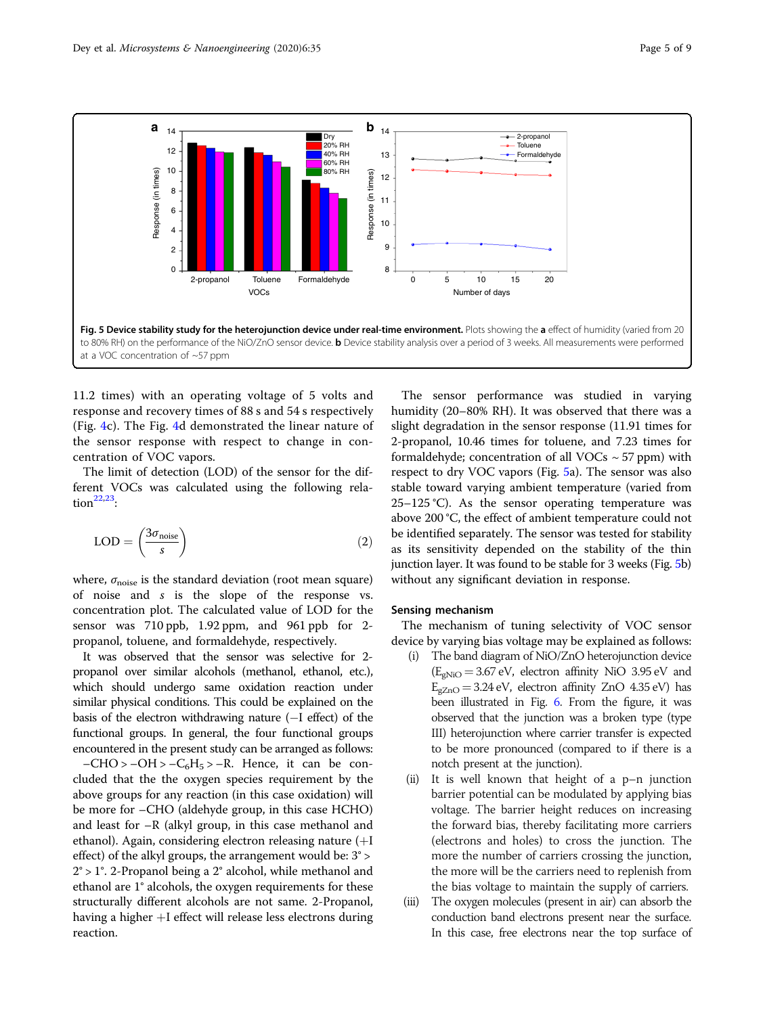

11.2 times) with an operating voltage of 5 volts and response and recovery times of 88 s and 54 s respectively (Fig. [4](#page-3-0)c). The Fig. [4d](#page-3-0) demonstrated the linear nature of the sensor response with respect to change in concentration of VOC vapors.

The limit of detection (LOD) of the sensor for the different VOCs was calculated using the following rela- $\text{tion}^{\text{22,23}}$  $\text{tion}^{\text{22,23}}$  $\text{tion}^{\text{22,23}}$  $\text{tion}^{\text{22,23}}$  $\text{tion}^{\text{22,23}}$ :

$$
LOD = \left(\frac{3\sigma_{\text{noise}}}{s}\right) \tag{2}
$$

where,  $\sigma_{\text{noise}}$  is the standard deviation (root mean square) of noise and s is the slope of the response vs. concentration plot. The calculated value of LOD for the sensor was 710 ppb, 1.92 ppm, and 961 ppb for 2 propanol, toluene, and formaldehyde, respectively.

It was observed that the sensor was selective for 2 propanol over similar alcohols (methanol, ethanol, etc.), which should undergo same oxidation reaction under similar physical conditions. This could be explained on the basis of the electron withdrawing nature (−I effect) of the functional groups. In general, the four functional groups encountered in the present study can be arranged as follows:  $-CHO > -OH > -C_6H_5 > -R$ . Hence, it can be concluded that the the oxygen species requirement by the above groups for any reaction (in this case oxidation) will be more for –CHO (aldehyde group, in this case HCHO) and least for –R (alkyl group, in this case methanol and ethanol). Again, considering electron releasing nature (+I effect) of the alkyl groups, the arrangement would be: 3° >

2° > 1°. 2-Propanol being a 2° alcohol, while methanol and ethanol are 1° alcohols, the oxygen requirements for these structurally different alcohols are not same. 2-Propanol, having a higher +I effect will release less electrons during reaction.

The sensor performance was studied in varying humidity (20–80% RH). It was observed that there was a slight degradation in the sensor response (11.91 times for 2-propanol, 10.46 times for toluene, and 7.23 times for formaldehyde; concentration of all VOCs  $\sim$  57 ppm) with respect to dry VOC vapors (Fig. 5a). The sensor was also stable toward varying ambient temperature (varied from  $25-125$  °C). As the sensor operating temperature was above 200 °C, the effect of ambient temperature could not be identified separately. The sensor was tested for stability as its sensitivity depended on the stability of the thin junction layer. It was found to be stable for 3 weeks (Fig. 5b) without any significant deviation in response.

# Sensing mechanism

The mechanism of tuning selectivity of VOC sensor device by varying bias voltage may be explained as follows:

- (i) The band diagram of NiO/ZnO heterojunction device  $(E_{gNiO} = 3.67 \text{ eV}$ , electron affinity NiO 3.95 eV and  $E_{\text{gZnO}} = 3.24 \text{ eV}$ , electron affinity ZnO 4.35 eV) has been illustrated in Fig. [6.](#page-5-0) From the figure, it was observed that the junction was a broken type (type III) heterojunction where carrier transfer is expected to be more pronounced (compared to if there is a notch present at the junction).
- (ii) It is well known that height of a p–n junction barrier potential can be modulated by applying bias voltage. The barrier height reduces on increasing the forward bias, thereby facilitating more carriers (electrons and holes) to cross the junction. The more the number of carriers crossing the junction, the more will be the carriers need to replenish from the bias voltage to maintain the supply of carriers.
- (iii) The oxygen molecules (present in air) can absorb the conduction band electrons present near the surface. In this case, free electrons near the top surface of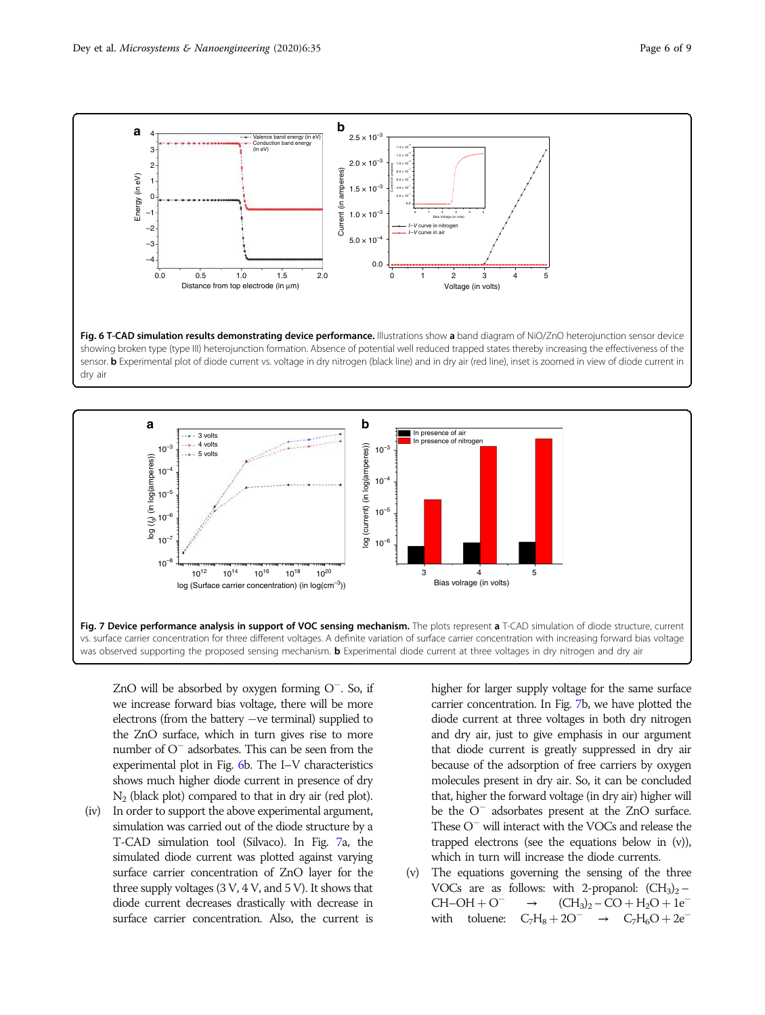

<span id="page-5-0"></span>



ZnO will be absorbed by oxygen forming O<sup>−</sup> . So, if we increase forward bias voltage, there will be more electrons (from the battery −ve terminal) supplied to the ZnO surface, which in turn gives rise to more number of O<sup>−</sup> adsorbates. This can be seen from the experimental plot in Fig. 6b. The I–V characteristics shows much higher diode current in presence of dry N2 (black plot) compared to that in dry air (red plot).

(iv) In order to support the above experimental argument, simulation was carried out of the diode structure by a T-CAD simulation tool (Silvaco). In Fig. 7a, the simulated diode current was plotted against varying surface carrier concentration of ZnO layer for the three supply voltages (3 V, 4 V, and 5 V). It shows that diode current decreases drastically with decrease in surface carrier concentration. Also, the current is higher for larger supply voltage for the same surface carrier concentration. In Fig. 7b, we have plotted the diode current at three voltages in both dry nitrogen and dry air, just to give emphasis in our argument that diode current is greatly suppressed in dry air because of the adsorption of free carriers by oxygen molecules present in dry air. So, it can be concluded that, higher the forward voltage (in dry air) higher will be the O<sup>−</sup> adsorbates present at the ZnO surface. These O<sup>−</sup> will interact with the VOCs and release the trapped electrons (see the equations below in (v)), which in turn will increase the diode currents.

(v) The equations governing the sensing of the three VOCs are as follows: with 2-propanol:  $(CH_3)_2$  –  $CH-OH + O^ \rightarrow$   $(CH_3)_2 - CO + H_2O + 1e^$ with toluene:  $C_7H_8 + 2O^-$  →  $C_7H_6O + 2e^-$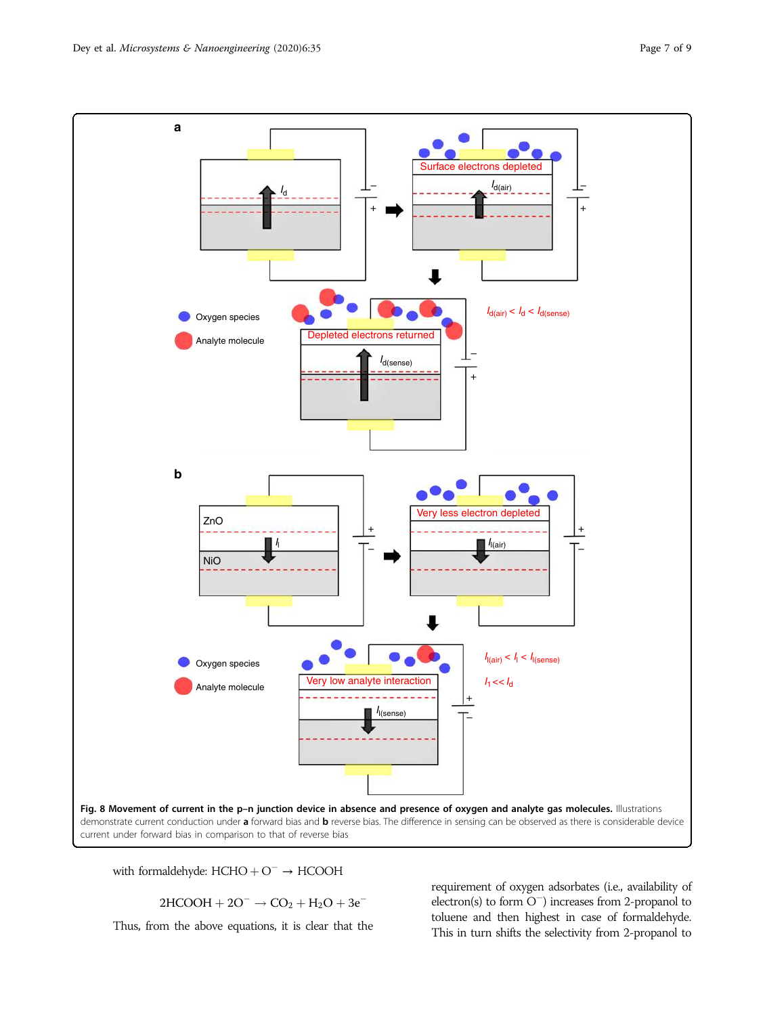<span id="page-6-0"></span>

with formaldehyde:  $HCHO + O^- \rightarrow HCOOH$ 

 $2HCOOH + 2O^- \rightarrow CO_2 + H_2O + 3e^-$ 

Thus, from the above equations, it is clear that the

requirement of oxygen adsorbates (i.e., availability of electron(s) to form O<sup>−</sup> ) increases from 2-propanol to toluene and then highest in case of formaldehyde. This in turn shifts the selectivity from 2-propanol to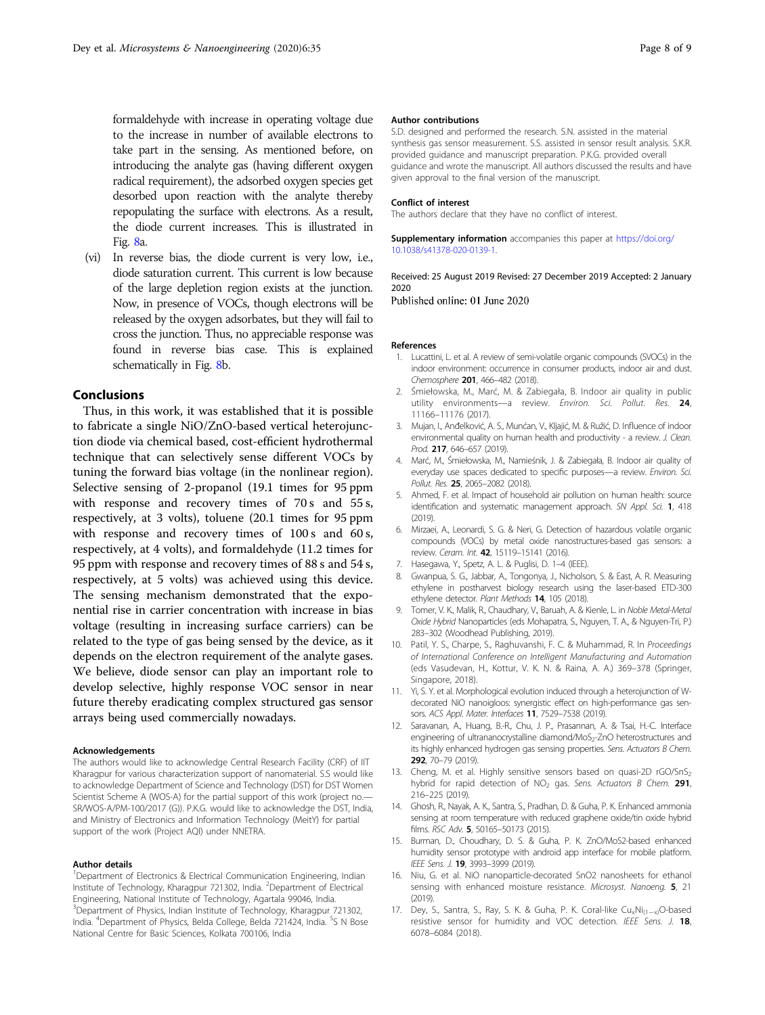<span id="page-7-0"></span>formaldehyde with increase in operating voltage due to the increase in number of available electrons to take part in the sensing. As mentioned before, on introducing the analyte gas (having different oxygen radical requirement), the adsorbed oxygen species get desorbed upon reaction with the analyte thereby repopulating the surface with electrons. As a result, the diode current increases. This is illustrated in Fig. [8a](#page-6-0).

(vi) In reverse bias, the diode current is very low, i.e., diode saturation current. This current is low because of the large depletion region exists at the junction. Now, in presence of VOCs, though electrons will be released by the oxygen adsorbates, but they will fail to cross the junction. Thus, no appreciable response was found in reverse bias case. This is explained schematically in Fig. [8b](#page-6-0).

# Conclusions

Thus, in this work, it was established that it is possible to fabricate a single NiO/ZnO-based vertical heterojunction diode via chemical based, cost-efficient hydrothermal technique that can selectively sense different VOCs by tuning the forward bias voltage (in the nonlinear region). Selective sensing of 2-propanol (19.1 times for 95 ppm with response and recovery times of 70 s and 55 s, respectively, at 3 volts), toluene (20.1 times for 95 ppm with response and recovery times of  $100 s$  and  $60 s$ , respectively, at 4 volts), and formaldehyde (11.2 times for 95 ppm with response and recovery times of 88 s and 54 s, respectively, at 5 volts) was achieved using this device. The sensing mechanism demonstrated that the exponential rise in carrier concentration with increase in bias voltage (resulting in increasing surface carriers) can be related to the type of gas being sensed by the device, as it depends on the electron requirement of the analyte gases. We believe, diode sensor can play an important role to develop selective, highly response VOC sensor in near future thereby eradicating complex structured gas sensor arrays being used commercially nowadays.

#### Acknowledgements

The authors would like to acknowledge Central Research Facility (CRF) of IIT Kharagpur for various characterization support of nanomaterial. S.S would like to acknowledge Department of Science and Technology (DST) for DST Women Scientist Scheme A (WOS-A) for the partial support of this work (project no.— SR/WOS-A/PM-100/2017 (G)). P.K.G. would like to acknowledge the DST, India, and Ministry of Electronics and Information Technology (MeitY) for partial support of the work (Project AQI) under NNETRA.

#### Author details

<sup>1</sup>Department of Electronics & Electrical Communication Engineering, Indian Institute of Technology, Kharagpur 721302, India. <sup>2</sup>Department of Electrical Engineering, National Institute of Technology, Agartala 99046, India. <sup>3</sup>Department of Physics, Indian Institute of Technology, Kharagpur 721302, India. <sup>4</sup>Department of Physics, Belda College, Belda 721424, India. <sup>5</sup>S N Bose National Centre for Basic Sciences, Kolkata 700106, India

#### Author contributions

S.D. designed and performed the research. S.N. assisted in the material synthesis gas sensor measurement. S.S. assisted in sensor result analysis. S.K.R. provided guidance and manuscript preparation. P.K.G. provided overall guidance and wrote the manuscript. All authors discussed the results and have given approval to the final version of the manuscript.

#### Conflict of interest

The authors declare that they have no conflict of interest.

Supplementary information accompanies this paper at [https://doi.org/](https://doi.org/10.1038/s41378-020-0139-1) [10.1038/s41378-020-0139-1.](https://doi.org/10.1038/s41378-020-0139-1)

Received: 25 August 2019 Revised: 27 December 2019 Accepted: 2 January 2020

Published online: 01 June 2020

#### References

- 1. Lucattini, L. et al. A review of semi-volatile organic compounds (SVOCs) in the indoor environment: occurrence in consumer products, indoor air and dust. Chemosphere 201, 466–482 (2018).
- Śmiełowska, M., Marć, M. & Zabiegała, B. Indoor air quality in public utility environments-a review. Environ. Sci. Pollut. Res. 24, 11166–11176 (2017).
- 3. Mujan, I., Anđelković, A. S., Munćan, V., Kljajić, M. & Ružić, D. Influence of indoor environmental quality on human health and productivity - a review. J. Clean. Prod. 217, 646–657 (2019).
- 4. Marć, M., Śmiełowska, M., Namieśnik, J. & Zabiegała, B. Indoor air quality of everyday use spaces dedicated to specific purposes—a review. Environ. Sci. Pollut. Res. 25, 2065–2082 (2018).
- 5. Ahmed, F. et al. Impact of household air pollution on human health: source identification and systematic management approach. SN Appl. Sci. 1, 418  $(2019)$
- 6. Mirzaei, A., Leonardi, S. G. & Neri, G. Detection of hazardous volatile organic compounds (VOCs) by metal oxide nanostructures-based gas sensors: a review. Ceram. Int. 42, 15119–15141 (2016).
- 7. Hasegawa, Y., Spetz, A. L. & Puglisi, D. 1–4 (IEEE).
- 8. Gwanpua, S. G., Jabbar, A., Tongonya, J., Nicholson, S. & East, A. R. Measuring ethylene in postharvest biology research using the laser-based ETD-300 ethylene detector. Plant Methods 14, 105 (2018).
- 9. Tomer, V. K., Malik, R., Chaudhary, V., Baruah, A. & Kienle, L. in Noble Metal-Metal Oxide Hybrid Nanoparticles (eds Mohapatra, S., Nguyen, T. A., & Nguyen-Tri, P.) 283–302 (Woodhead Publishing, 2019).
- 10. Patil, Y. S., Charpe, S., Raghuvanshi, F. C. & Muhammad, R. In Proceedings of International Conference on Intelligent Manufacturing and Automation (eds Vasudevan, H., Kottur, V. K. N. & Raina, A. A.) 369–378 (Springer, Singapore, 2018).
- 11. Yi, S. Y. et al. Morphological evolution induced through a heterojunction of Wdecorated NiO nanoigloos: synergistic effect on high-performance gas sensors. ACS Appl. Mater. Interfaces 11, 7529–7538 (2019).
- 12. Saravanan, A., Huang, B.-R., Chu, J. P., Prasannan, A. & Tsai, H.-C. Interface engineering of ultrananocrystalline diamond/MoS<sub>2</sub>-ZnO heterostructures and its highly enhanced hydrogen gas sensing properties. Sens. Actuators B Chem. 292, 70–79 (2019).
- 13. Cheng, M. et al. Highly sensitive sensors based on quasi-2D rGO/SnS<sub>2</sub> hybrid for rapid detection of  $NO<sub>2</sub>$  gas. Sens. Actuators B Chem. 291, 216–225 (2019).
- 14. Ghosh, R., Nayak, A. K., Santra, S., Pradhan, D. & Guha, P. K. Enhanced ammonia sensing at room temperature with reduced graphene oxide/tin oxide hybrid films. RSC Adv. 5, 50165–50173 (2015).
- 15. Burman, D., Choudhary, D. S. & Guha, P. K. ZnO/MoS2-based enhanced humidity sensor prototype with android app interface for mobile platform. IEEE Sens. J. 19, 3993-3999 (2019).
- 16. Niu, G. et al. NiO nanoparticle-decorated SnO2 nanosheets for ethanol sensing with enhanced moisture resistance. Microsyst. Nanoeng. 5, 21 (2019).
- 17. Dey, S., Santra, S., Ray, S. K. & Guha, P. K. Coral-like Cu<sub>x</sub>Ni<sub>(1-x)</sub>O-based resistive sensor for humidity and VOC detection. IEEE Sens. J. 18, 6078–6084 (2018).